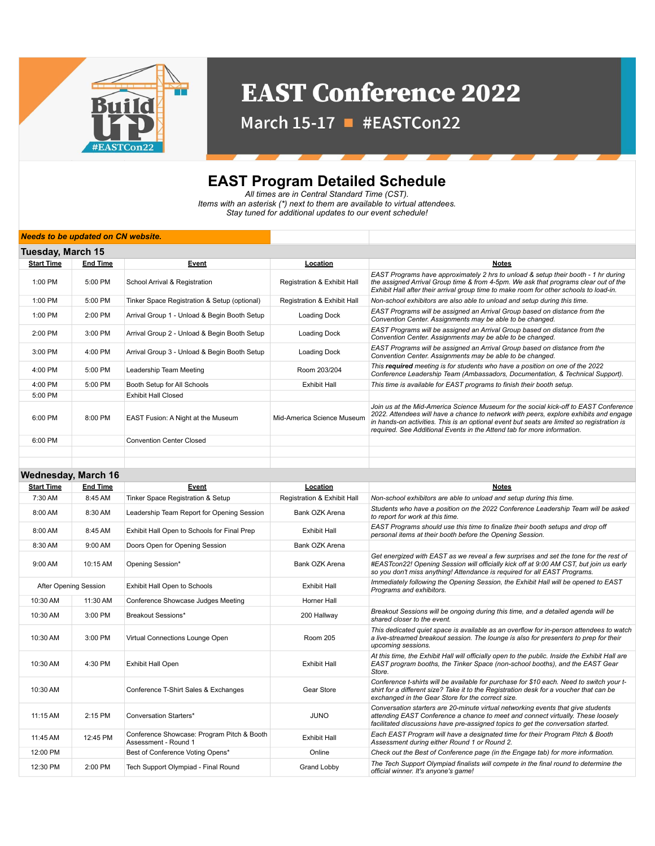

## **EAST Conference 2022**

March 15-17 - #EASTCon22

## **EAST Program Detailed Schedule**

*All times are in Central Standard Time (CST). Items with an asterisk (\*) next to them are available to virtual attendees. Stay tuned for additional updates to our event schedule!*

## *Needs to be updated on CN website.*

| Tuesday, March 15 |                 |                                              |                             |                                                                                                                                                                                                                                                                                                                                                        |  |  |
|-------------------|-----------------|----------------------------------------------|-----------------------------|--------------------------------------------------------------------------------------------------------------------------------------------------------------------------------------------------------------------------------------------------------------------------------------------------------------------------------------------------------|--|--|
| <b>Start Time</b> | <b>End Time</b> | Event                                        | Location                    | Notes                                                                                                                                                                                                                                                                                                                                                  |  |  |
| 1:00 PM           | 5:00 PM         | School Arrival & Registration                | Registration & Exhibit Hall | EAST Programs have approximately 2 hrs to unload & setup their booth - 1 hr during<br>the assigned Arrival Group time & from 4-5pm. We ask that programs clear out of the<br>Exhibit Hall after their arrival group time to make room for other schools to load-in.                                                                                    |  |  |
| 1:00 PM           | 5:00 PM         | Tinker Space Registration & Setup (optional) | Registration & Exhibit Hall | Non-school exhibitors are also able to unload and setup during this time.                                                                                                                                                                                                                                                                              |  |  |
| 1:00 PM           | 2:00 PM         | Arrival Group 1 - Unload & Begin Booth Setup | Loading Dock                | EAST Programs will be assigned an Arrival Group based on distance from the<br>Convention Center. Assignments may be able to be changed.                                                                                                                                                                                                                |  |  |
| 2:00 PM           | 3:00 PM         | Arrival Group 2 - Unload & Begin Booth Setup | Loading Dock                | EAST Programs will be assigned an Arrival Group based on distance from the<br>Convention Center. Assignments may be able to be changed.                                                                                                                                                                                                                |  |  |
| 3:00 PM           | $4:00$ PM       | Arrival Group 3 - Unload & Begin Booth Setup | Loading Dock                | EAST Programs will be assigned an Arrival Group based on distance from the<br>Convention Center. Assignments may be able to be changed.                                                                                                                                                                                                                |  |  |
| $4:00$ PM         | 5:00 PM         | Leadership Team Meeting                      | Room 203/204                | This required meeting is for students who have a position on one of the 2022<br>Conference Leadership Team (Ambassadors, Documentation, & Technical Support).                                                                                                                                                                                          |  |  |
| $4:00$ PM         | 5:00 PM         | Booth Setup for All Schools                  | <b>Exhibit Hall</b>         | This time is available for EAST programs to finish their booth setup.                                                                                                                                                                                                                                                                                  |  |  |
| 5:00 PM           |                 | <b>Exhibit Hall Closed</b>                   |                             |                                                                                                                                                                                                                                                                                                                                                        |  |  |
| 6:00 PM           | 8:00 PM         | <b>EAST Fusion: A Night at the Museum</b>    | Mid-America Science Museum  | Join us at the Mid-America Science Museum for the social kick-off to EAST Conference<br>2022. Attendees will have a chance to network with peers, explore exhibits and engage<br>in hands-on activities. This is an optional event but seats are limited so registration is<br>required. See Additional Events in the Attend tab for more information. |  |  |
| 6:00 PM           |                 | <b>Convention Center Closed</b>              |                             |                                                                                                                                                                                                                                                                                                                                                        |  |  |
|                   |                 |                                              |                             |                                                                                                                                                                                                                                                                                                                                                        |  |  |

## **Wednesday, March 16**

| <b>Start Time</b>     | <b>End Time</b> | Event                                                              | Location                    | <b>Notes</b>                                                                                                                                                                                                                                                 |
|-----------------------|-----------------|--------------------------------------------------------------------|-----------------------------|--------------------------------------------------------------------------------------------------------------------------------------------------------------------------------------------------------------------------------------------------------------|
| 7:30 AM               | 8:45 AM         | Tinker Space Registration & Setup                                  | Registration & Exhibit Hall | Non-school exhibitors are able to unload and setup during this time.                                                                                                                                                                                         |
| 8:00 AM               | 8:30 AM         | Leadership Team Report for Opening Session                         | Bank OZK Arena              | Students who have a position on the 2022 Conference Leadership Team will be asked<br>to report for work at this time.                                                                                                                                        |
| 8:00 AM               | 8:45 AM         | Exhibit Hall Open to Schools for Final Prep                        | <b>Exhibit Hall</b>         | EAST Programs should use this time to finalize their booth setups and drop off<br>personal items at their booth before the Opening Session.                                                                                                                  |
| 8:30 AM               | 9:00 AM         | Doors Open for Opening Session                                     | Bank OZK Arena              |                                                                                                                                                                                                                                                              |
| 9:00 AM               | 10:15 AM        | Opening Session*                                                   | Bank OZK Arena              | Get energized with EAST as we reveal a few surprises and set the tone for the rest of<br>#EASTcon22! Opening Session will officially kick off at 9:00 AM CST, but join us early<br>so you don't miss anything! Attendance is required for all EAST Programs. |
| After Opening Session |                 | Exhibit Hall Open to Schools                                       | <b>Exhibit Hall</b>         | Immediately following the Opening Session, the Exhibit Hall will be opened to EAST<br>Programs and exhibitors.                                                                                                                                               |
| 10:30 AM              | 11:30 AM        | Conference Showcase Judges Meeting                                 | Horner Hall                 |                                                                                                                                                                                                                                                              |
| 10:30 AM              | 3:00 PM         | Breakout Sessions*                                                 | 200 Hallway                 | Breakout Sessions will be ongoing during this time, and a detailed agenda will be<br>shared closer to the event.                                                                                                                                             |
| 10:30 AM              | 3:00 PM         | Virtual Connections Lounge Open                                    | Room 205                    | This dedicated quiet space is available as an overflow for in-person attendees to watch<br>a live-streamed breakout session. The lounge is also for presenters to prep for their<br>upcoming sessions.                                                       |
| 10:30 AM              | 4:30 PM         | Exhibit Hall Open                                                  | <b>Exhibit Hall</b>         | At this time, the Exhibit Hall will officially open to the public. Inside the Exhibit Hall are<br>EAST program booths, the Tinker Space (non-school booths), and the EAST Gear<br>Store.                                                                     |
| 10:30 AM              |                 | Conference T-Shirt Sales & Exchanges                               | Gear Store                  | Conference t-shirts will be available for purchase for \$10 each. Need to switch your t-<br>shirt for a different size? Take it to the Registration desk for a voucher that can be<br>exchanged in the Gear Store for the correct size.                      |
| 11:15 AM              | 2:15 PM         | <b>Conversation Starters*</b>                                      | <b>JUNO</b>                 | Conversation starters are 20-minute virtual networking events that give students<br>attending EAST Conference a chance to meet and connect virtually. These loosely<br>facilitated discussions have pre-assigned topics to get the conversation started.     |
| 11:45 AM              | 12:45 PM        | Conference Showcase: Program Pitch & Booth<br>Assessment - Round 1 | <b>Exhibit Hall</b>         | Each EAST Program will have a designated time for their Program Pitch & Booth<br>Assessment during either Round 1 or Round 2.                                                                                                                                |
| 12:00 PM              |                 | Best of Conference Voting Opens*                                   | Online                      | Check out the Best of Conference page (in the Engage tab) for more information.                                                                                                                                                                              |
| 12:30 PM              | 2:00 PM         | Tech Support Olympiad - Final Round                                | Grand Lobby                 | The Tech Support Olympiad finalists will compete in the final round to determine the<br>official winner. It's anyone's game!                                                                                                                                 |